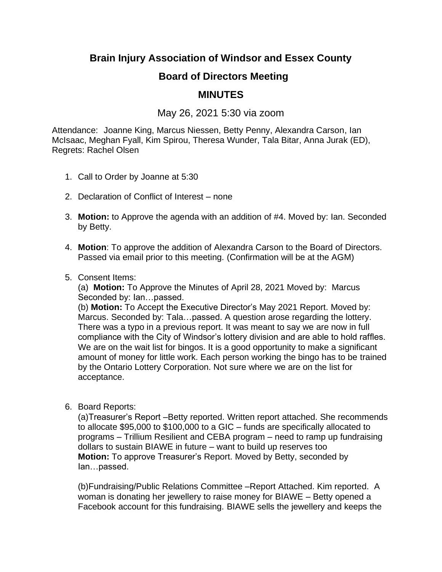**Brain Injury Association of Windsor and Essex County**

## **Board of Directors Meeting**

## **MINUTES**

May 26, 2021 5:30 via zoom

Attendance: Joanne King, Marcus Niessen, Betty Penny, Alexandra Carson, Ian McIsaac, Meghan Fyall, Kim Spirou, Theresa Wunder, Tala Bitar, Anna Jurak (ED), Regrets: Rachel Olsen

- 1. Call to Order by Joanne at 5:30
- 2. Declaration of Conflict of Interest none
- 3. **Motion:** to Approve the agenda with an addition of #4. Moved by: Ian. Seconded by Betty.
- 4. **Motion**: To approve the addition of Alexandra Carson to the Board of Directors. Passed via email prior to this meeting. (Confirmation will be at the AGM)
- 5. Consent Items:

(a) **Motion:** To Approve the Minutes of April 28, 2021 Moved by: Marcus Seconded by: Ian…passed.

(b) **Motion:** To Accept the Executive Director's May 2021 Report. Moved by: Marcus. Seconded by: Tala…passed. A question arose regarding the lottery. There was a typo in a previous report. It was meant to say we are now in full compliance with the City of Windsor's lottery division and are able to hold raffles. We are on the wait list for bingos. It is a good opportunity to make a significant amount of money for little work. Each person working the bingo has to be trained by the Ontario Lottery Corporation. Not sure where we are on the list for acceptance.

6. Board Reports:

(a)Treasurer's Report –Betty reported. Written report attached. She recommends to allocate \$95,000 to \$100,000 to a GIC – funds are specifically allocated to programs – Trillium Resilient and CEBA program – need to ramp up fundraising dollars to sustain BIAWE in future – want to build up reserves too **Motion:** To approve Treasurer's Report. Moved by Betty, seconded by Ian…passed.

(b)Fundraising/Public Relations Committee –Report Attached. Kim reported. A woman is donating her jewellery to raise money for BIAWE – Betty opened a Facebook account for this fundraising. BIAWE sells the jewellery and keeps the